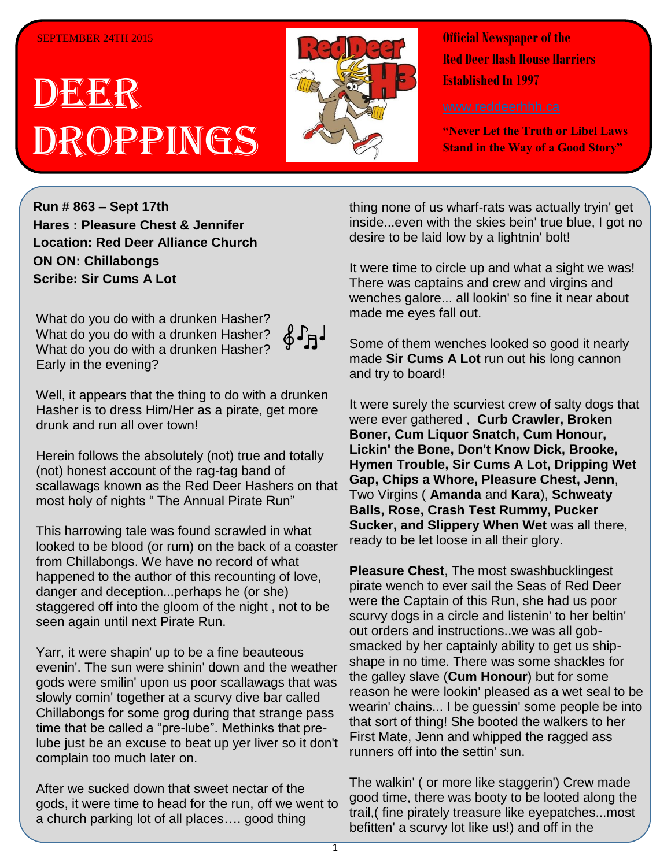#### SEPTEMBER 24TH 2015

# DEER Droppings



**Official Newspaper of the Red Deer Hash House Harriers Established In 1997** 

**"Never Let the Truth or Libel Laws Stand in the Way of a Good Story"**

**Run # 863 – Sept 17th Hares : Pleasure Chest & Jennifer Location: Red Deer Alliance Church ON ON: Chillabongs Scribe: Sir Cums A Lot**

What do you do with a drunken Hasher? What do you do with a drunken Hasher? What do you do with a drunken Hasher? Early in the evening?

Well, it appears that the thing to do with a drunken Hasher is to dress Him/Her as a pirate, get more drunk and run all over town!

Herein follows the absolutely (not) true and totally (not) honest account of the rag-tag band of scallawags known as the Red Deer Hashers on that most holy of nights " The Annual Pirate Run"

This harrowing tale was found scrawled in what looked to be blood (or rum) on the back of a coaster from Chillabongs. We have no record of what happened to the author of this recounting of love, danger and deception...perhaps he (or she) staggered off into the gloom of the night , not to be seen again until next Pirate Run.

Yarr, it were shapin' up to be a fine beauteous evenin'. The sun were shinin' down and the weather gods were smilin' upon us poor scallawags that was slowly comin' together at a scurvy dive bar called Chillabongs for some grog during that strange pass time that be called a "pre-lube". Methinks that prelube just be an excuse to beat up yer liver so it don't complain too much later on.

After we sucked down that sweet nectar of the gods, it were time to head for the run, off we went to a church parking lot of all places…. good thing

thing none of us wharf-rats was actually tryin' get inside...even with the skies bein' true blue, I got no desire to be laid low by a lightnin' bolt!

It were time to circle up and what a sight we was! There was captains and crew and virgins and wenches galore... all lookin' so fine it near about made me eyes fall out.

Some of them wenches looked so good it nearly made **Sir Cums A Lot** run out his long cannon and try to board!

It were surely the scurviest crew of salty dogs that were ever gathered , **Curb Crawler, Broken Boner, Cum Liquor Snatch, Cum Honour, Lickin' the Bone, Don't Know Dick, Brooke, Hymen Trouble, Sir Cums A Lot, Dripping Wet Gap, Chips a Whore, Pleasure Chest, Jenn**, Two Virgins ( **Amanda** and **Kara**), **Schweaty Balls, Rose, Crash Test Rummy, Pucker Sucker, and Slippery When Wet** was all there, ready to be let loose in all their glory.

**Pleasure Chest**, The most swashbucklingest pirate wench to ever sail the Seas of Red Deer were the Captain of this Run, she had us poor scurvy dogs in a circle and listenin' to her beltin' out orders and instructions..we was all gobsmacked by her captainly ability to get us shipshape in no time. There was some shackles for the galley slave (**Cum Honour**) but for some reason he were lookin' pleased as a wet seal to be wearin' chains... I be guessin' some people be into that sort of thing! She booted the walkers to her First Mate, Jenn and whipped the ragged ass runners off into the settin' sun.

The walkin' ( or more like staggerin') Crew made good time, there was booty to be looted along the trail,( fine pirately treasure like eyepatches...most befitten' a scurvy lot like us!) and off in the